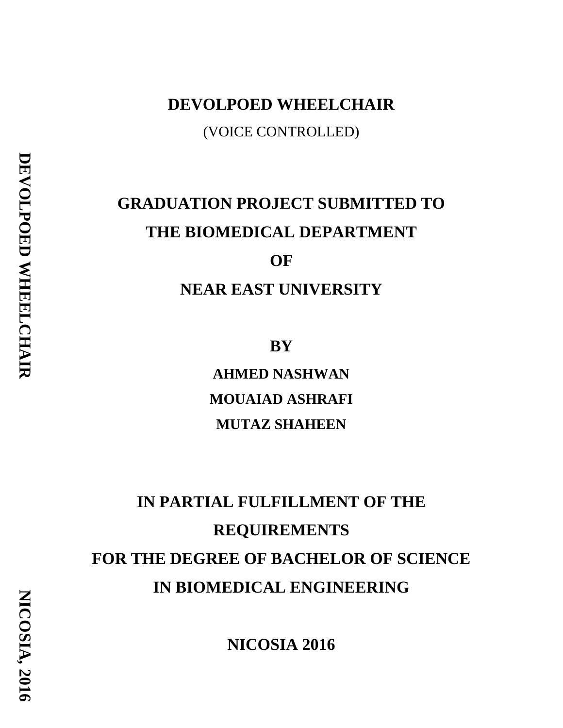# **DEVOLPOED WHEELCHAIR** (VOICE CONTROLLED)

# **GRADUATION PROJECT SUBMITTED TO THE BIOMEDICAL DEPARTMENT OF NEAR EAST UNIVERSITY**

**BY**

**AHMED NASHWAN MOUAIAD ASHRAFI MUTAZ SHAHEEN**

# **IN PARTIAL FULFILLMENT OF THE REQUIREMENTS FOR THE DEGREE OF BACHELOR OF SCIENCE IN BIOMEDICAL ENGINEERING**

**NICOSIA 2016**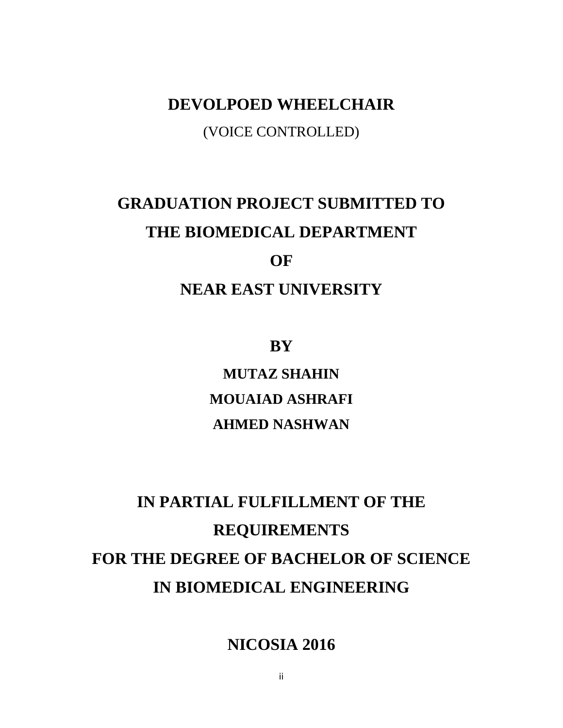# **DEVOLPOED WHEELCHAIR** (VOICE CONTROLLED)

# **GRADUATION PROJECT SUBMITTED TO THE BIOMEDICAL DEPARTMENT OF**

# **NEAR EAST UNIVERSITY**

**BY**

**MUTAZ SHAHIN MOUAIAD ASHRAFI AHMED NASHWAN**

# **IN PARTIAL FULFILLMENT OF THE REQUIREMENTS FOR THE DEGREE OF BACHELOR OF SCIENCE IN BIOMEDICAL ENGINEERING**

**NICOSIA 2016**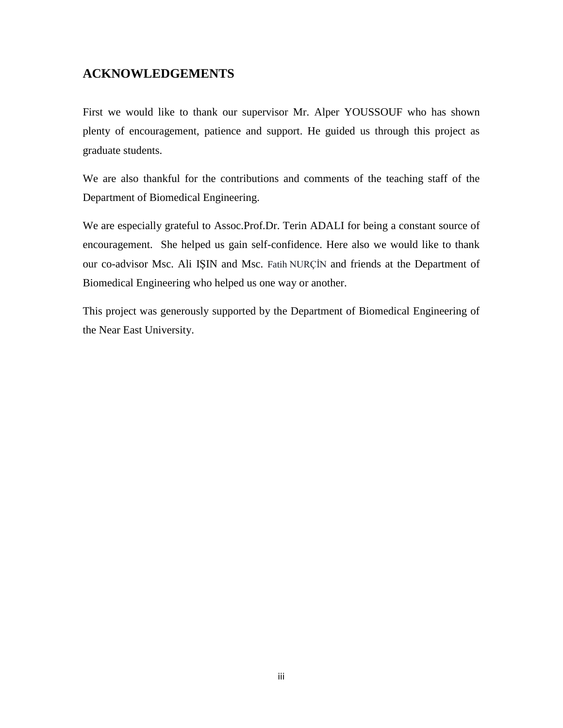### <span id="page-2-0"></span>**ACKNOWLEDGEMENTS**

First we would like to thank our supervisor Mr. Alper YOUSSOUF who has shown plenty of encouragement, patience and support. He guided us through this project as graduate students.

We are also thankful for the contributions and comments of the teaching staff of the Department of Biomedical Engineering.

We are especially grateful to [Assoc.Prof.Dr. Terin A](http://neu.edu.tr/en/node/1845)DALI for being a constant source of encouragement. She helped us gain self-confidence. Here also we would like to thank our co-advisor Msc. Ali IŞIN and Msc. Fatih NURÇİN and friends at the Department of Biomedical Engineering who helped us one way or another.

This project was generously supported by the Department of Biomedical Engineering of the Near East University.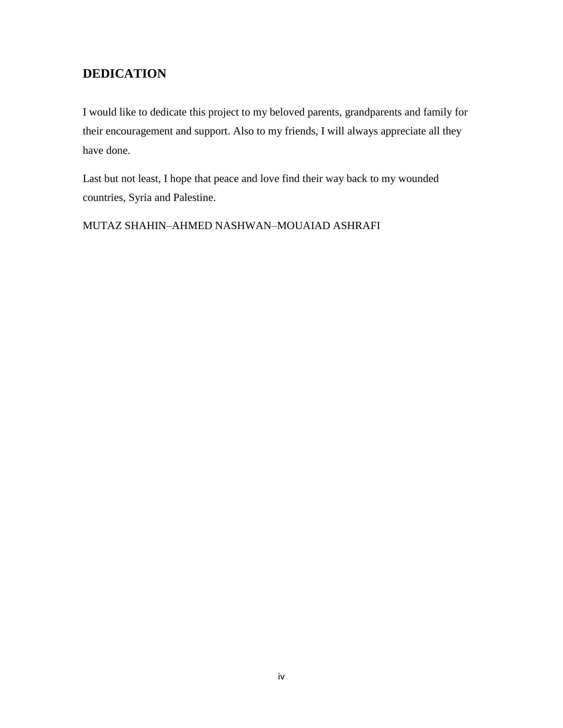## <span id="page-3-0"></span>**DEDICATION**

I would like to dedicate this project to my beloved parents, grandparents and family for their encouragement and support. Also to my friends, I will always appreciate all they have done.

Last but not least, I hope that peace and love find their way back to my wounded countries, Syria and Palestine.

MUTAZ SHAHIN–AHMED NASHWAN–MOUAIAD ASHRAFI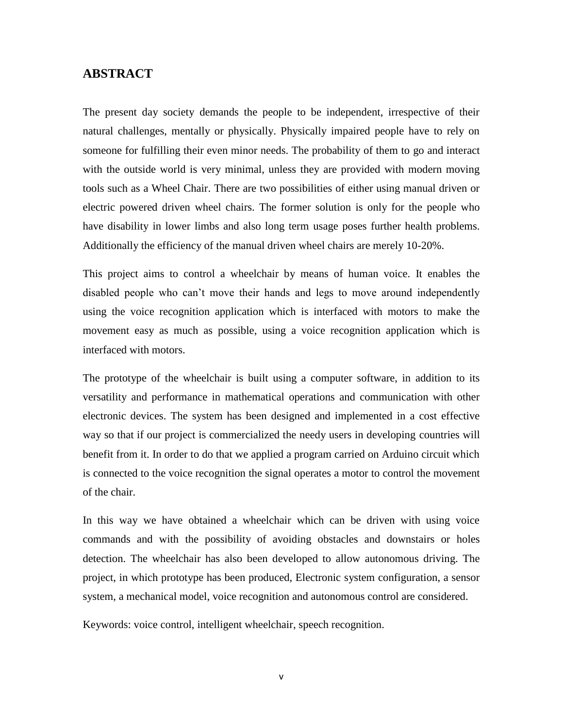#### <span id="page-4-0"></span>**ABSTRACT**

The present day society demands the people to be independent, irrespective of their natural challenges, mentally or physically. Physically impaired people have to rely on someone for fulfilling their even minor needs. The probability of them to go and interact with the outside world is very minimal, unless they are provided with modern moving tools such as a Wheel Chair. There are two possibilities of either using manual driven or electric powered driven wheel chairs. The former solution is only for the people who have disability in lower limbs and also long term usage poses further health problems. Additionally the efficiency of the manual driven wheel chairs are merely 10-20%.

This project aims to control a wheelchair by means of human voice. It enables the disabled people who can't move their hands and legs to move around independently using the voice recognition application which is interfaced with motors to make the movement easy as much as possible, using a voice recognition application which is interfaced with motors.

The prototype of the wheelchair is built using a computer software, in addition to its versatility and performance in mathematical operations and communication with other electronic devices. The system has been designed and implemented in a cost effective way so that if our project is commercialized the needy users in developing countries will benefit from it. In order to do that we applied a program carried on Arduino circuit which is connected to the voice recognition the signal operates a motor to control the movement of the chair.

In this way we have obtained a wheelchair which can be driven with using voice commands and with the possibility of avoiding obstacles and downstairs or holes detection. The wheelchair has also been developed to allow autonomous driving. The project, in which prototype has been produced, Electronic system configuration, a sensor system, a mechanical model, voice recognition and autonomous control are considered.

Keywords: voice control, intelligent wheelchair, speech recognition.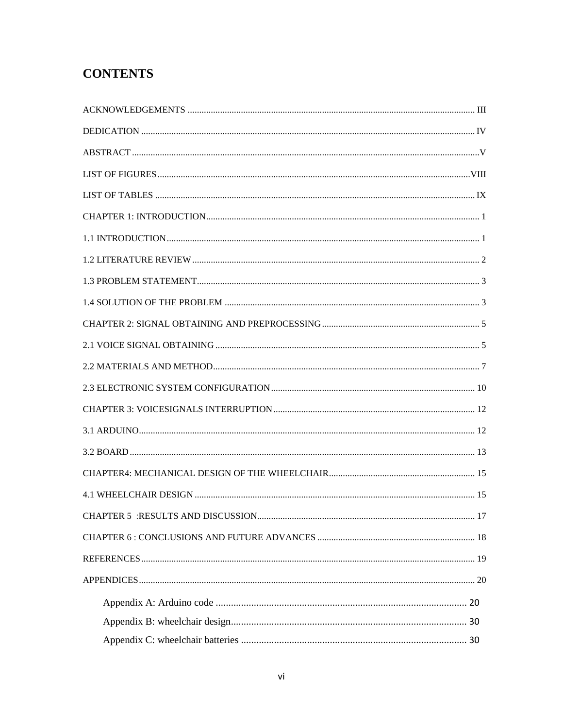## **CONTENTS**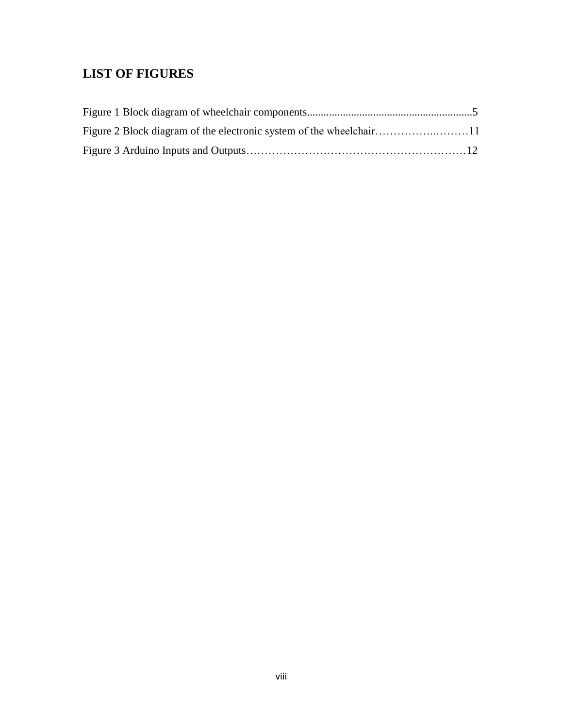## <span id="page-7-0"></span>**LIST OF FIGURES**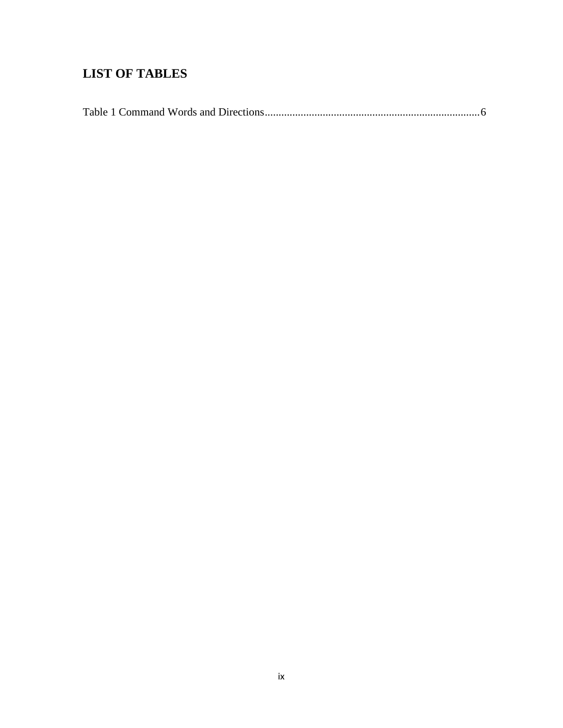## <span id="page-8-0"></span>**LIST OF TABLES**

|--|--|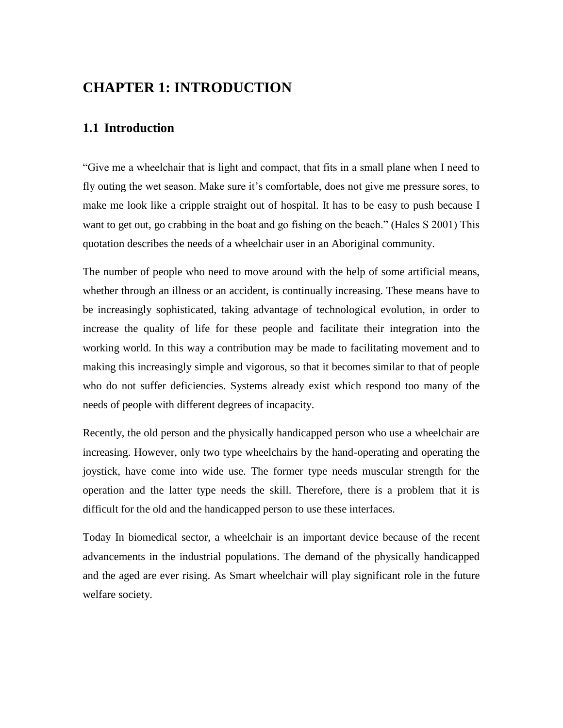# <span id="page-9-1"></span><span id="page-9-0"></span>**CHAPTER 1: INTRODUCTION**

## **1.1 Introduction**

"Give me a wheelchair that is light and compact, that fits in a small plane when I need to fly outing the wet season. Make sure it's comfortable, does not give me pressure sores, to make me look like a cripple straight out of hospital. It has to be easy to push because I want to get out, go crabbing in the boat and go fishing on the beach." (Hales S 2001) This quotation describes the needs of a wheelchair user in an Aboriginal community.

The number of people who need to move around with the help of some artificial means, whether through an illness or an accident, is continually increasing. These means have to be increasingly sophisticated, taking advantage of technological evolution, in order to increase the quality of life for these people and facilitate their integration into the working world. In this way a contribution may be made to facilitating movement and to making this increasingly simple and vigorous, so that it becomes similar to that of people who do not suffer deficiencies. Systems already exist which respond too many of the needs of people with different degrees of incapacity.

Recently, the old person and the physically handicapped person who use a wheelchair are increasing. However, only two type wheelchairs by the hand-operating and operating the joystick, have come into wide use. The former type needs muscular strength for the operation and the latter type needs the skill. Therefore, there is a problem that it is difficult for the old and the handicapped person to use these interfaces.

Today In biomedical sector, a wheelchair is an important device because of the recent advancements in the industrial populations. The demand of the physically handicapped and the aged are ever rising. As Smart wheelchair will play significant role in the future welfare society.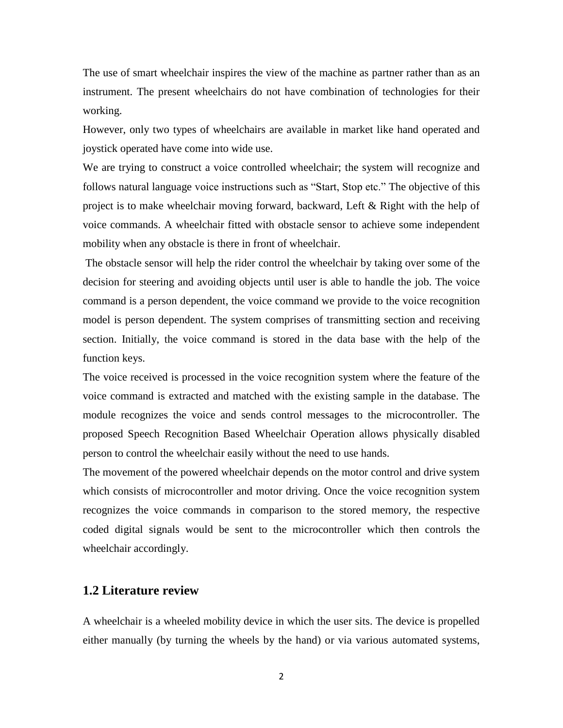The use of smart wheelchair inspires the view of the machine as partner rather than as an instrument. The present wheelchairs do not have combination of technologies for their working.

However, only two types of wheelchairs are available in market like hand operated and joystick operated have come into wide use.

We are trying to construct a voice controlled wheelchair; the system will recognize and follows natural language voice instructions such as "Start, Stop etc." The objective of this project is to make wheelchair moving forward, backward, Left & Right with the help of voice commands. A wheelchair fitted with obstacle sensor to achieve some independent mobility when any obstacle is there in front of wheelchair.

The obstacle sensor will help the rider control the wheelchair by taking over some of the decision for steering and avoiding objects until user is able to handle the job. The voice command is a person dependent, the voice command we provide to the voice recognition model is person dependent. The system comprises of transmitting section and receiving section. Initially, the voice command is stored in the data base with the help of the function keys.

The voice received is processed in the voice recognition system where the feature of the voice command is extracted and matched with the existing sample in the database. The module recognizes the voice and sends control messages to the microcontroller. The proposed Speech Recognition Based Wheelchair Operation allows physically disabled person to control the wheelchair easily without the need to use hands.

The movement of the powered wheelchair depends on the motor control and drive system which consists of microcontroller and motor driving. Once the voice recognition system recognizes the voice commands in comparison to the stored memory, the respective coded digital signals would be sent to the microcontroller which then controls the wheelchair accordingly.

#### <span id="page-10-0"></span>**1.2 Literature review**

A wheelchair is a wheeled mobility device in which the user sits. The device is propelled either manually (by turning the wheels by the hand) or via various automated systems,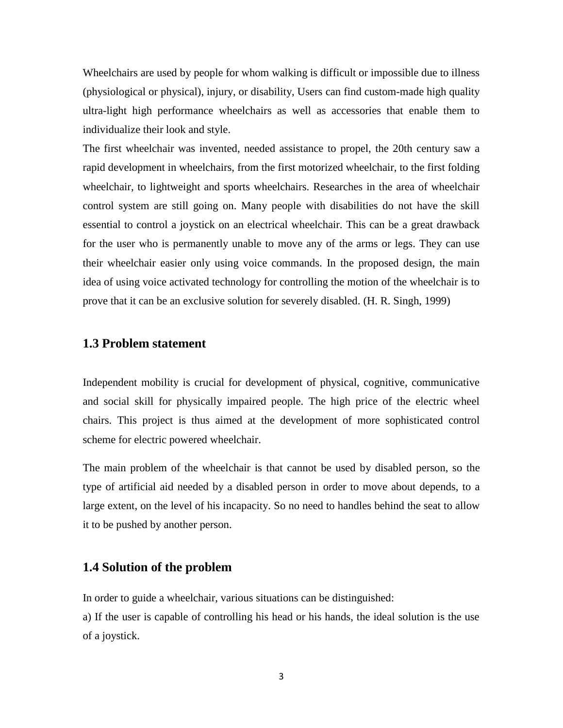Wheelchairs are used by people for whom walking is difficult or impossible due to illness (physiological or physical), injury, or disability, Users can find custom-made high quality ultra-light high performance wheelchairs as well as accessories that enable them to individualize their look and style.

The first wheelchair was invented, needed assistance to propel, the 20th century saw a rapid development in wheelchairs, from the first motorized wheelchair, to the first folding wheelchair, to lightweight and sports wheelchairs. Researches in the area of wheelchair control system are still going on. Many people with disabilities do not have the skill essential to control a joystick on an electrical wheelchair. This can be a great drawback for the user who is permanently unable to move any of the arms or legs. They can use their wheelchair easier only using voice commands. In the proposed design, the main idea of using voice activated technology for controlling the motion of the wheelchair is to prove that it can be an exclusive solution for severely disabled. (H. R. Singh, 1999)

#### <span id="page-11-0"></span>**1.3 Problem statement**

Independent mobility is crucial for development of physical, cognitive, communicative and social skill for physically impaired people. The high price of the electric wheel chairs. This project is thus aimed at the development of more sophisticated control scheme for electric powered wheelchair.

The main problem of the wheelchair is that cannot be used by disabled person, so the type of artificial aid needed by a disabled person in order to move about depends, to a large extent, on the level of his incapacity. So no need to handles behind the seat to allow it to be pushed by another person.

### <span id="page-11-1"></span>**1.4 Solution of the problem**

In order to guide a wheelchair, various situations can be distinguished:

a) If the user is capable of controlling his head or his hands, the ideal solution is the use of a joystick.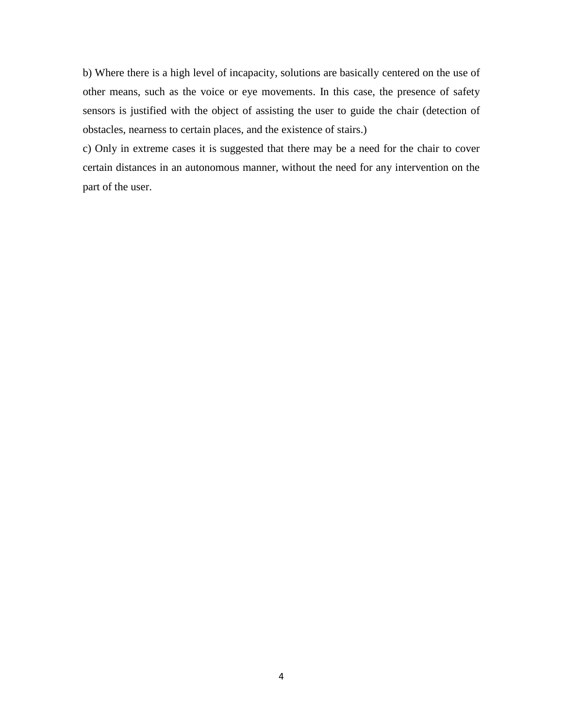b) Where there is a high level of incapacity, solutions are basically centered on the use of other means, such as the voice or eye movements. In this case, the presence of safety sensors is justified with the object of assisting the user to guide the chair (detection of obstacles, nearness to certain places, and the existence of stairs.)

c) Only in extreme cases it is suggested that there may be a need for the chair to cover certain distances in an autonomous manner, without the need for any intervention on the part of the user.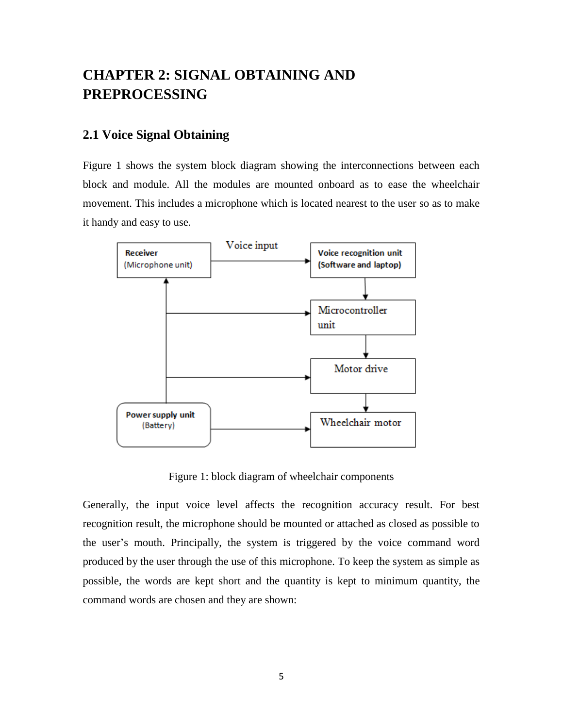# <span id="page-13-0"></span>**CHAPTER 2: SIGNAL OBTAINING AND PREPROCESSING**

#### <span id="page-13-1"></span>**2.1 Voice Signal Obtaining**

Figure 1 shows the system block diagram showing the interconnections between each block and module. All the modules are mounted onboard as to ease the wheelchair movement. This includes a microphone which is located nearest to the user so as to make it handy and easy to use.



Figure 1: block diagram of wheelchair components

Generally, the input voice level affects the recognition accuracy result. For best recognition result, the microphone should be mounted or attached as closed as possible to the user's mouth. Principally, the system is triggered by the voice command word produced by the user through the use of this microphone. To keep the system as simple as possible, the words are kept short and the quantity is kept to minimum quantity, the command words are chosen and they are shown: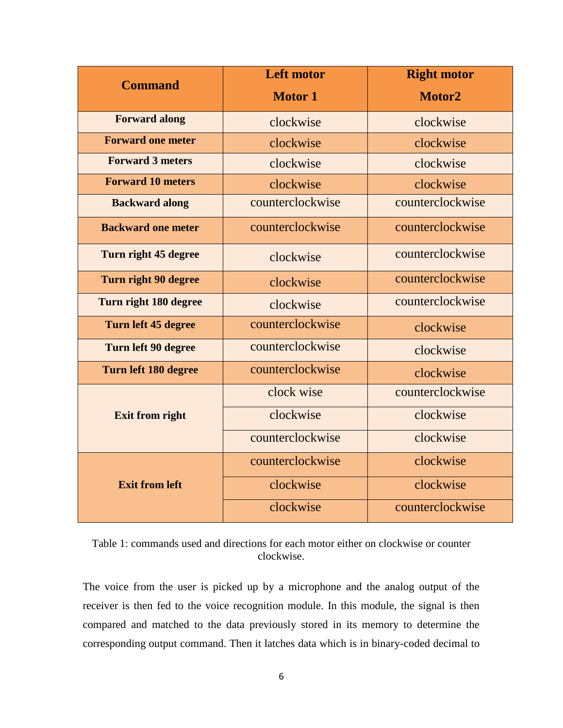| <b>Command</b>            | <b>Left motor</b> | <b>Right motor</b> |
|---------------------------|-------------------|--------------------|
|                           | <b>Motor 1</b>    | Motor2             |
| <b>Forward along</b>      | clockwise         | clockwise          |
| <b>Forward one meter</b>  | clockwise         | clockwise          |
| <b>Forward 3 meters</b>   | clockwise         | clockwise          |
| <b>Forward 10 meters</b>  | clockwise         | clockwise          |
| <b>Backward along</b>     | counterclockwise  | counterclockwise   |
| <b>Backward one meter</b> | counterclockwise  | counterclockwise   |
| Turn right 45 degree      | clockwise         | counterclockwise   |
| Turn right 90 degree      | clockwise         | counterclockwise   |
| Turn right 180 degree     | clockwise         | counterclockwise   |
| Turn left 45 degree       | counterclockwise  | clockwise          |
| Turn left 90 degree       | counterclockwise  | clockwise          |
| Turn left 180 degree      | counterclockwise  | clockwise          |
|                           | clock wise        | counterclockwise   |
| <b>Exit from right</b>    | clockwise         | clockwise          |
|                           | counterclockwise  | clockwise          |
|                           | counterclockwise  | clockwise          |
| <b>Exit from left</b>     | clockwise         | clockwise          |
|                           | clockwise         | counterclockwise   |

Table 1: commands used and directions for each motor either on clockwise or counter clockwise.

The voice from the user is picked up by a microphone and the analog output of the receiver is then fed to the voice recognition module. In this module, the signal is then compared and matched to the data previously stored in its memory to determine the corresponding output command. Then it latches data which is in binary-coded decimal to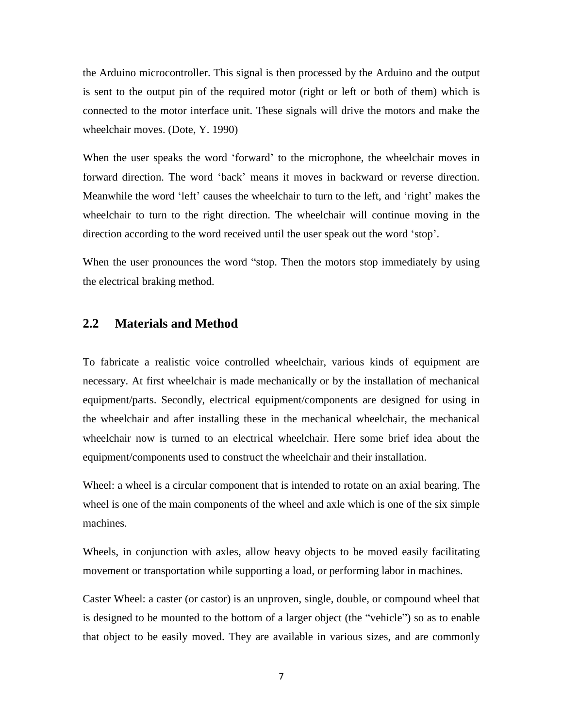the Arduino microcontroller. This signal is then processed by the Arduino and the output is sent to the output pin of the required motor (right or left or both of them) which is connected to the motor interface unit. These signals will drive the motors and make the wheelchair moves. (Dote, Y. 1990)

When the user speaks the word 'forward' to the microphone, the wheelchair moves in forward direction. The word 'back' means it moves in backward or reverse direction. Meanwhile the word 'left' causes the wheelchair to turn to the left, and 'right' makes the wheelchair to turn to the right direction. The wheelchair will continue moving in the direction according to the word received until the user speak out the word 'stop'.

When the user pronounces the word "stop. Then the motors stop immediately by using the electrical braking method.

### <span id="page-15-0"></span>**2.2 Materials and Method**

To fabricate a realistic voice controlled wheelchair, various kinds of equipment are necessary. At first wheelchair is made mechanically or by the installation of mechanical equipment/parts. Secondly, electrical equipment/components are designed for using in the wheelchair and after installing these in the mechanical wheelchair, the mechanical wheelchair now is turned to an electrical wheelchair. Here some brief idea about the equipment/components used to construct the wheelchair and their installation.

Wheel: a wheel is a circular component that is intended to rotate on an axial bearing. The wheel is one of the main components of the wheel and axle which is one of the six simple machines.

Wheels, in conjunction with axles, allow heavy objects to be moved easily facilitating movement or transportation while supporting a load, or performing labor in machines.

Caster Wheel: a caster (or castor) is an unproven, single, double, or compound wheel that is designed to be mounted to the bottom of a larger object (the "vehicle") so as to enable that object to be easily moved. They are available in various sizes, and are commonly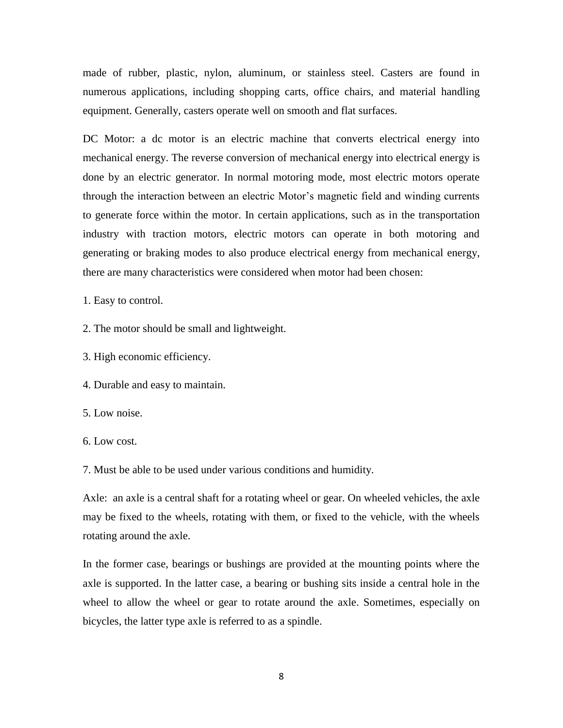made of rubber, plastic, nylon, aluminum, or stainless steel. Casters are found in numerous applications, including shopping carts, office chairs, and material handling equipment. Generally, casters operate well on smooth and flat surfaces.

DC Motor: a dc motor is an electric machine that converts electrical energy into mechanical energy. The reverse conversion of mechanical energy into electrical energy is done by an electric generator. In normal motoring mode, most electric motors operate through the interaction between an electric Motor's magnetic field and winding currents to generate force within the motor. In certain applications, such as in the transportation industry with traction motors, electric motors can operate in both motoring and generating or braking modes to also produce electrical energy from mechanical energy, there are many characteristics were considered when motor had been chosen:

1. Easy to control.

2. The motor should be small and lightweight.

3. High economic efficiency.

4. Durable and easy to maintain.

5. Low noise.

6. Low cost.

7. Must be able to be used under various conditions and humidity.

Axle: an axle is a central shaft for a rotating wheel or gear. On wheeled vehicles, the axle may be fixed to the wheels, rotating with them, or fixed to the vehicle, with the wheels rotating around the axle.

In the former case, bearings or bushings are provided at the mounting points where the axle is supported. In the latter case, a bearing or bushing sits inside a central hole in the wheel to allow the wheel or gear to rotate around the axle. Sometimes, especially on bicycles, the latter type axle is referred to as a spindle.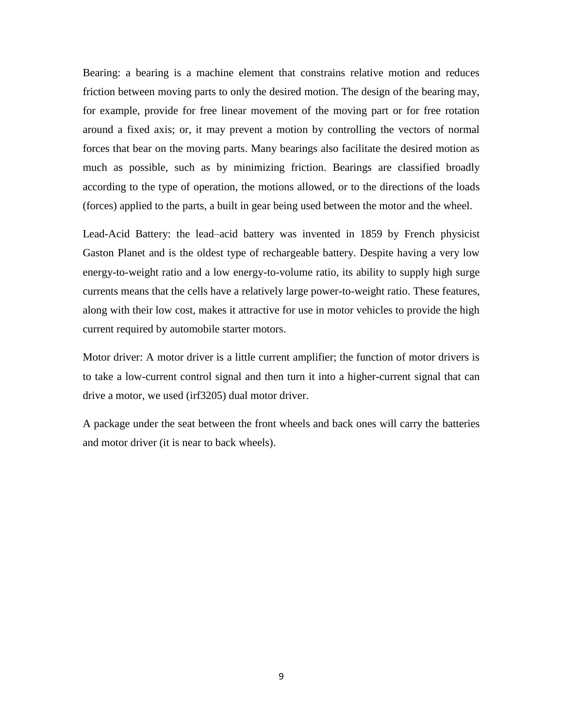Bearing: a bearing is a machine element that constrains relative motion and reduces friction between moving parts to only the desired motion. The design of the bearing may, for example, provide for free linear movement of the moving part or for free rotation around a fixed axis; or, it may prevent a motion by controlling the vectors of normal forces that bear on the moving parts. Many bearings also facilitate the desired motion as much as possible, such as by minimizing friction. Bearings are classified broadly according to the type of operation, the motions allowed, or to the directions of the loads (forces) applied to the parts, a built in gear being used between the motor and the wheel.

Lead-Acid Battery: the lead–acid battery was invented in 1859 by French physicist Gaston Planet and is the oldest type of rechargeable battery. Despite having a very low energy-to-weight ratio and a low energy-to-volume ratio, its ability to supply high surge currents means that the cells have a relatively large power-to-weight ratio. These features, along with their low cost, makes it attractive for use in motor vehicles to provide the high current required by automobile starter motors.

Motor driver: A motor driver is a little current amplifier; the function of motor drivers is to take a low-current control signal and then turn it into a higher-current signal that can drive a motor, we used (irf3205) dual motor driver.

A package under the seat between the front wheels and back ones will carry the batteries and motor driver (it is near to back wheels).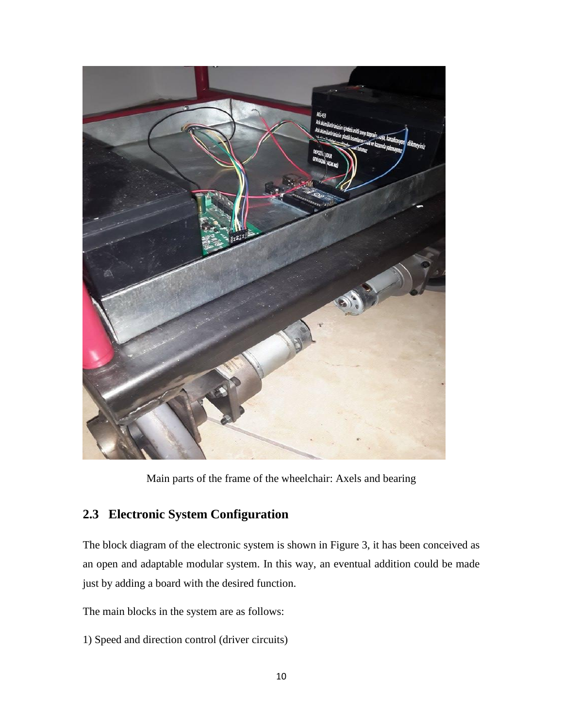

Main parts of the frame of the wheelchair: Axels and bearing

## <span id="page-18-0"></span>**2.3 Electronic System Configuration**

The block diagram of the electronic system is shown in Figure 3, it has been conceived as an open and adaptable modular system. In this way, an eventual addition could be made just by adding a board with the desired function.

The main blocks in the system are as follows:

1) Speed and direction control (driver circuits)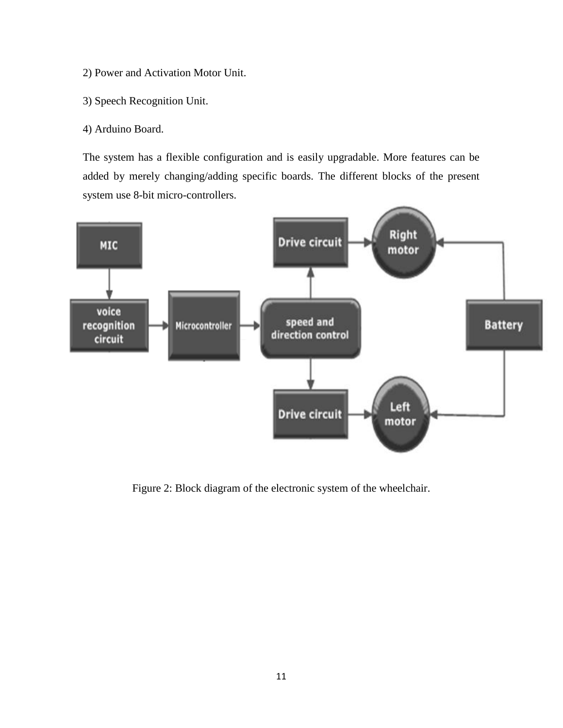- 2) Power and Activation Motor Unit.
- 3) Speech Recognition Unit.
- 4) Arduino Board.

The system has a flexible configuration and is easily upgradable. More features can be added by merely changing/adding specific boards. The different blocks of the present system use 8-bit micro-controllers.



Figure 2: Block diagram of the electronic system of the wheelchair.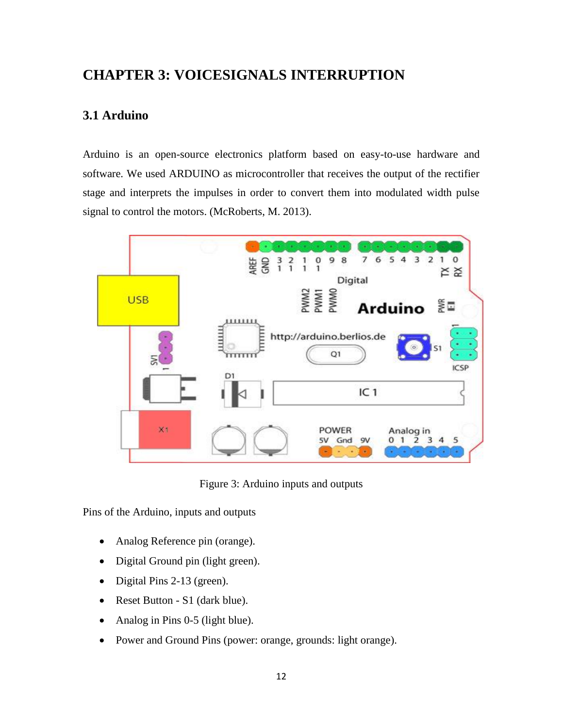# <span id="page-20-1"></span><span id="page-20-0"></span>**CHAPTER 3: VOICESIGNALS INTERRUPTION**

## **3.1 Arduino**

Arduino is an open-source electronics platform based on easy-to-use hardware and software. We used ARDUINO as microcontroller that receives the output of the rectifier stage and interprets the impulses in order to convert them into modulated width pulse signal to control the motors. (McRoberts, M. 2013).



Figure 3: Arduino inputs and outputs

Pins of the Arduino, inputs and outputs

- Analog Reference pin (orange).
- Digital Ground pin (light green).
- Digital Pins 2-13 (green).
- Reset Button S1 (dark blue).
- Analog in Pins 0-5 (light blue).
- Power and Ground Pins (power: orange, grounds: light orange).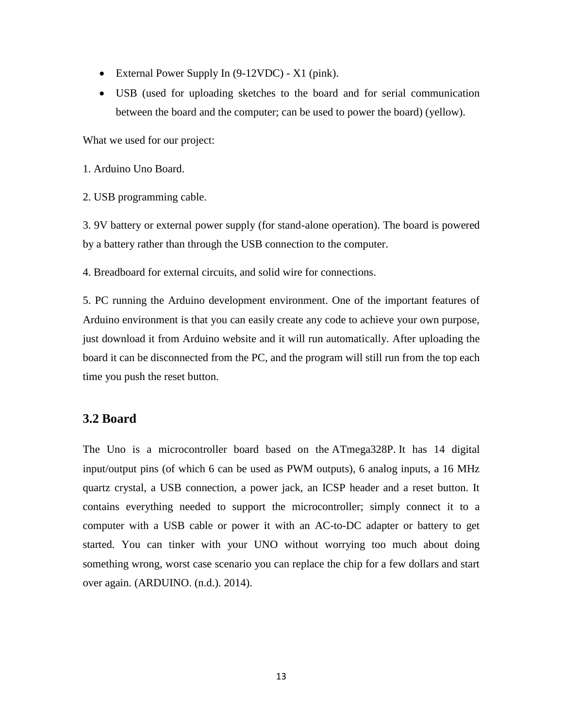- External Power Supply In (9-12VDC) X1 (pink).
- USB (used for uploading sketches to the board and for serial communication between the board and the computer; can be used to power the board) (yellow).

What we used for our project:

1. Arduino Uno Board.

2. USB programming cable.

3. 9V battery or external power supply (for stand-alone operation). The board is powered by a battery rather than through the USB connection to the computer.

4. Breadboard for external circuits, and solid wire for connections.

5. PC running the Arduino development environment. One of the important features of Arduino environment is that you can easily create any code to achieve your own purpose, just download it from Arduino website and it will run automatically. After uploading the board it can be disconnected from the PC, and the program will still run from the top each time you push the reset button.

#### <span id="page-21-0"></span>**3.2 Board**

The Uno is a microcontroller board based on the [ATmega328P.](http://www.atmel.com/Images/doc8161.pdf) It has 14 digital input/output pins (of which 6 can be used as PWM outputs), 6 analog inputs, a 16 MHz quartz crystal, a USB connection, a power jack, an ICSP header and a reset button. It contains everything needed to support the microcontroller; simply connect it to a computer with a USB cable or power it with an AC-to-DC adapter or battery to get started. You can tinker with your UNO without worrying too much about doing something wrong, worst case scenario you can replace the chip for a few dollars and start over again. (ARDUINO. (n.d.). 2014).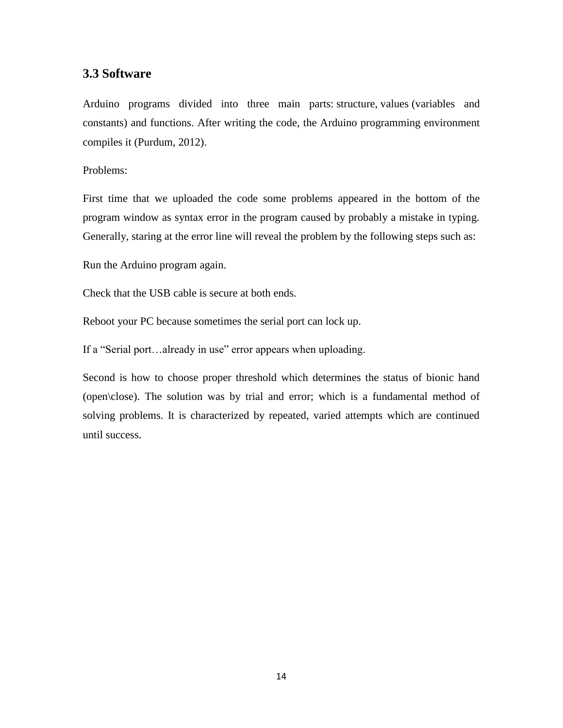#### **3.3 Software**

Arduino programs divided into three main parts: structure, values (variables and constants) and functions. After writing the code, the Arduino programming environment compiles it (Purdum, 2012).

#### Problems:

First time that we uploaded the code some problems appeared in the bottom of the program window as syntax error in the program caused by probably a mistake in typing. Generally, staring at the error line will reveal the problem by the following steps such as:

Run the Arduino program again.

Check that the USB cable is secure at both ends.

Reboot your PC because sometimes the serial port can lock up.

If a "Serial port…already in use" error appears when uploading.

Second is how to choose proper threshold which determines the status of bionic hand (open\close). The solution was by trial and error; which is a fundamental method of solving problems. It is characterized by repeated, varied attempts which are continued until success.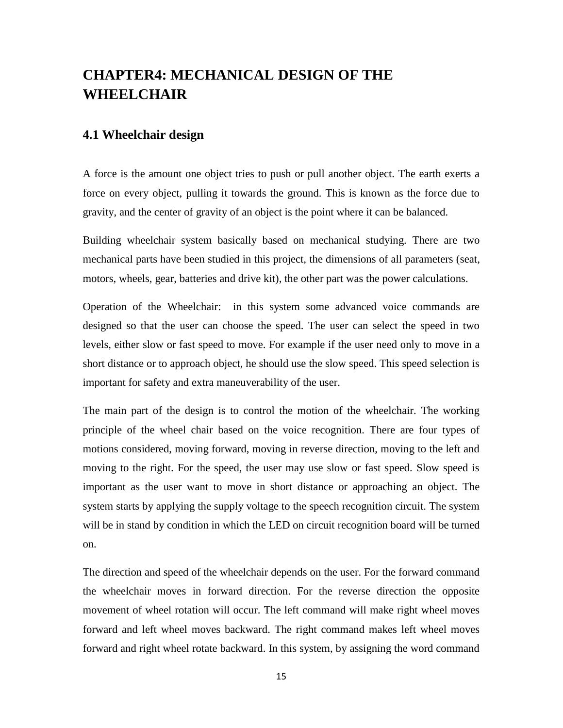# <span id="page-23-0"></span>**CHAPTER4: MECHANICAL DESIGN OF THE WHEELCHAIR**

#### <span id="page-23-1"></span>**4.1 Wheelchair design**

A force is the amount one object tries to push or pull another object. The earth exerts a force on every object, pulling it towards the ground. This is known as the force due to gravity, and the center of gravity of an object is the point where it can be balanced.

Building wheelchair system basically based on mechanical studying. There are two mechanical parts have been studied in this project, the dimensions of all parameters (seat, motors, wheels, gear, batteries and drive kit), the other part was the power calculations.

Operation of the Wheelchair: in this system some advanced voice commands are designed so that the user can choose the speed. The user can select the speed in two levels, either slow or fast speed to move. For example if the user need only to move in a short distance or to approach object, he should use the slow speed. This speed selection is important for safety and extra maneuverability of the user.

The main part of the design is to control the motion of the wheelchair. The working principle of the wheel chair based on the voice recognition. There are four types of motions considered, moving forward, moving in reverse direction, moving to the left and moving to the right. For the speed, the user may use slow or fast speed. Slow speed is important as the user want to move in short distance or approaching an object. The system starts by applying the supply voltage to the speech recognition circuit. The system will be in stand by condition in which the LED on circuit recognition board will be turned on.

The direction and speed of the wheelchair depends on the user. For the forward command the wheelchair moves in forward direction. For the reverse direction the opposite movement of wheel rotation will occur. The left command will make right wheel moves forward and left wheel moves backward. The right command makes left wheel moves forward and right wheel rotate backward. In this system, by assigning the word command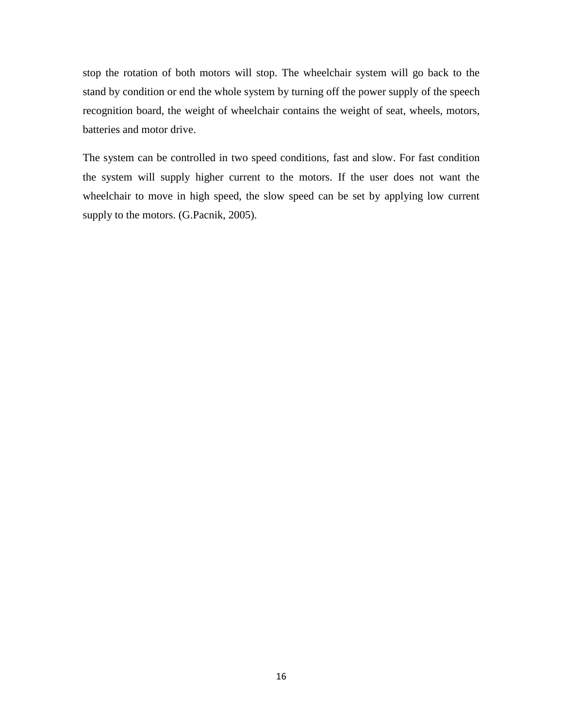stop the rotation of both motors will stop. The wheelchair system will go back to the stand by condition or end the whole system by turning off the power supply of the speech recognition board, the weight of wheelchair contains the weight of seat, wheels, motors, batteries and motor drive.

The system can be controlled in two speed conditions, fast and slow. For fast condition the system will supply higher current to the motors. If the user does not want the wheelchair to move in high speed, the slow speed can be set by applying low current supply to the motors. (G.Pacnik, 2005).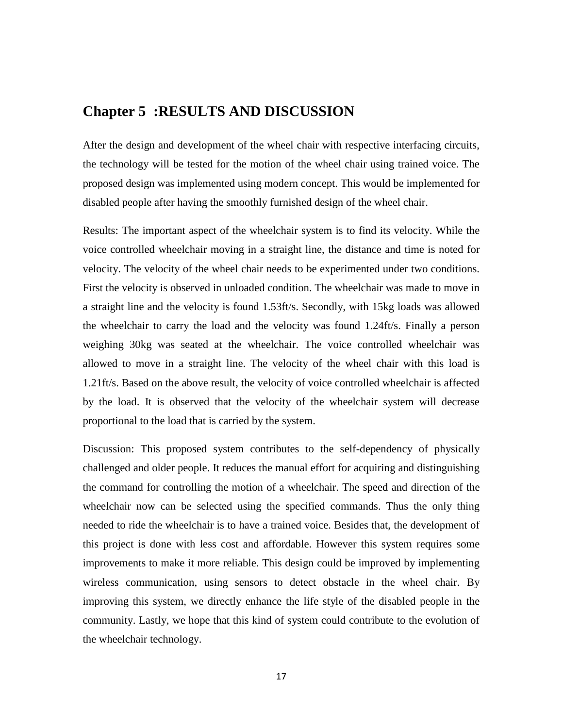### <span id="page-25-0"></span>**Chapter 5 :RESULTS AND DISCUSSION**

After the design and development of the wheel chair with respective interfacing circuits, the technology will be tested for the motion of the wheel chair using trained voice. The proposed design was implemented using modern concept. This would be implemented for disabled people after having the smoothly furnished design of the wheel chair.

Results: The important aspect of the wheelchair system is to find its velocity. While the voice controlled wheelchair moving in a straight line, the distance and time is noted for velocity. The velocity of the wheel chair needs to be experimented under two conditions. First the velocity is observed in unloaded condition. The wheelchair was made to move in a straight line and the velocity is found 1.53ft/s. Secondly, with 15kg loads was allowed the wheelchair to carry the load and the velocity was found 1.24ft/s. Finally a person weighing 30kg was seated at the wheelchair. The voice controlled wheelchair was allowed to move in a straight line. The velocity of the wheel chair with this load is 1.21ft/s. Based on the above result, the velocity of voice controlled wheelchair is affected by the load. It is observed that the velocity of the wheelchair system will decrease proportional to the load that is carried by the system.

Discussion: This proposed system contributes to the self-dependency of physically challenged and older people. It reduces the manual effort for acquiring and distinguishing the command for controlling the motion of a wheelchair. The speed and direction of the wheelchair now can be selected using the specified commands. Thus the only thing needed to ride the wheelchair is to have a trained voice. Besides that, the development of this project is done with less cost and affordable. However this system requires some improvements to make it more reliable. This design could be improved by implementing wireless communication, using sensors to detect obstacle in the wheel chair. By improving this system, we directly enhance the life style of the disabled people in the community. Lastly, we hope that this kind of system could contribute to the evolution of the wheelchair technology.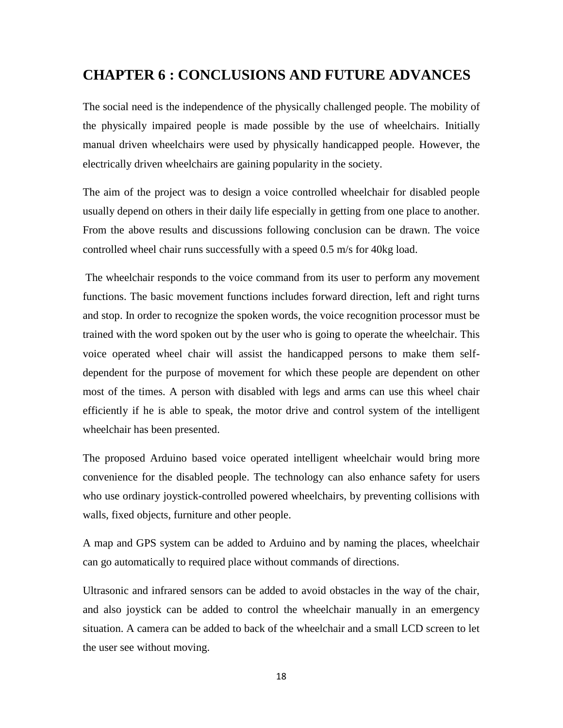## <span id="page-26-0"></span>**CHAPTER 6 : CONCLUSIONS AND FUTURE ADVANCES**

The social need is the independence of the physically challenged people. The mobility of the physically impaired people is made possible by the use of wheelchairs. Initially manual driven wheelchairs were used by physically handicapped people. However, the electrically driven wheelchairs are gaining popularity in the society.

The aim of the project was to design a voice controlled wheelchair for disabled people usually depend on others in their daily life especially in getting from one place to another. From the above results and discussions following conclusion can be drawn. The voice controlled wheel chair runs successfully with a speed 0.5 m/s for 40kg load.

The wheelchair responds to the voice command from its user to perform any movement functions. The basic movement functions includes forward direction, left and right turns and stop. In order to recognize the spoken words, the voice recognition processor must be trained with the word spoken out by the user who is going to operate the wheelchair. This voice operated wheel chair will assist the handicapped persons to make them selfdependent for the purpose of movement for which these people are dependent on other most of the times. A person with disabled with legs and arms can use this wheel chair efficiently if he is able to speak, the motor drive and control system of the intelligent wheelchair has been presented.

The proposed Arduino based voice operated intelligent wheelchair would bring more convenience for the disabled people. The technology can also enhance safety for users who use ordinary joystick-controlled powered wheelchairs, by preventing collisions with walls, fixed objects, furniture and other people.

A map and GPS system can be added to Arduino and by naming the places, wheelchair can go automatically to required place without commands of directions.

Ultrasonic and infrared sensors can be added to avoid obstacles in the way of the chair, and also joystick can be added to control the wheelchair manually in an emergency situation. A camera can be added to back of the wheelchair and a small LCD screen to let the user see without moving.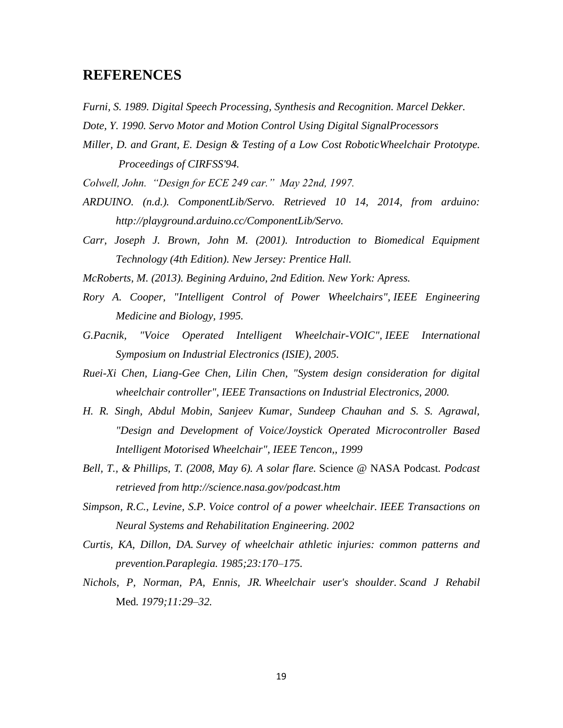### <span id="page-27-0"></span>**REFERENCES**

- *Furni, S. 1989. Digital Speech Processing, Synthesis and Recognition. Marcel Dekker.*
- *Dote, Y. 1990. Servo Motor and Motion Control Using Digital SignalProcessors*
- *Miller, D. and Grant, E. Design & Testing of a Low Cost RoboticWheelchair Prototype. Proceedings of CIRFSS'94.*
- *Colwell, John. "Design for ECE 249 car." May 22nd, 1997.*
- *ARDUINO. (n.d.). ComponentLib/Servo. Retrieved 10 14, 2014, from arduino: http://playground.arduino.cc/ComponentLib/Servo.*
- *Carr, Joseph J. Brown, John M. (2001). Introduction to Biomedical Equipment Technology (4th Edition). New Jersey: Prentice Hall.*
- *McRoberts, M. (2013). Begining Arduino, 2nd Edition. New York: Apress.*
- *Rory A. Cooper, "Intelligent Control of Power Wheelchairs", IEEE Engineering Medicine and Biology, 1995.*
- *G.Pacnik, "Voice Operated Intelligent Wheelchair-VOIC", IEEE International Symposium on Industrial Electronics (ISIE), 2005.*
- *Ruei-Xi Chen, Liang-Gee Chen, Lilin Chen, "System design consideration for digital wheelchair controller", IEEE Transactions on Industrial Electronics, 2000.*
- *H. R. Singh, Abdul Mobin, Sanjeev Kumar, Sundeep Chauhan and S. S. Agrawal, "Design and Development of Voice/Joystick Operated Microcontroller Based Intelligent Motorised Wheelchair", IEEE Tencon,, 1999*
- *Bell, T., & Phillips, T. (2008, May 6). A solar flare.* Science @ NASA Podcast*. Podcast retrieved from http://science.nasa.gov/podcast.htm*
- *Simpson, R.C., Levine, S.P. Voice control of a power wheelchair. IEEE Transactions on Neural Systems and Rehabilitation Engineering. 2002*
- *Curtis, KA, Dillon, DA. Survey of wheelchair athletic injuries: common patterns and prevention.Paraplegia. 1985;23:170–175.*
- <span id="page-27-1"></span>*Nichols, P, Norman, PA, Ennis, JR. Wheelchair user's shoulder. Scand J Rehabil* Med*. 1979;11:29–32.*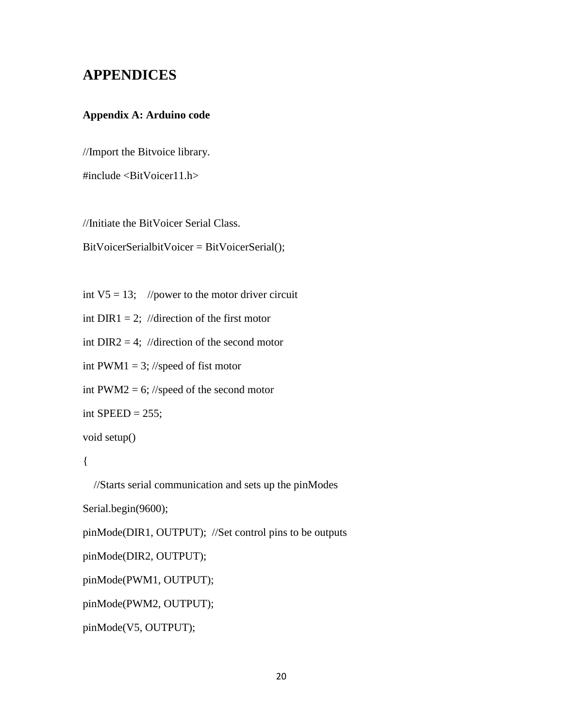## **APPENDICES**

#### <span id="page-28-0"></span>**Appendix A: Arduino code**

//Import the Bitvoice library.

#include <BitVoicer11.h>

//Initiate the BitVoicer Serial Class.

BitVoicerSerialbitVoicer = BitVoicerSerial();

int  $V5 = 13$ ; //power to the motor driver circuit

int DIR1 = 2; //direction of the first motor

int DIR2 = 4; //direction of the second motor

int PWM1 = 3; //speed of fist motor

int PWM2 = 6; //speed of the second motor

int SPEED =  $255$ ;

void setup()

#### {

//Starts serial communication and sets up the pinModes

```
Serial.begin(9600);
```
pinMode(DIR1, OUTPUT); //Set control pins to be outputs

pinMode(DIR2, OUTPUT);

```
pinMode(PWM1, OUTPUT);
```

```
pinMode(PWM2, OUTPUT);
```
pinMode(V5, OUTPUT);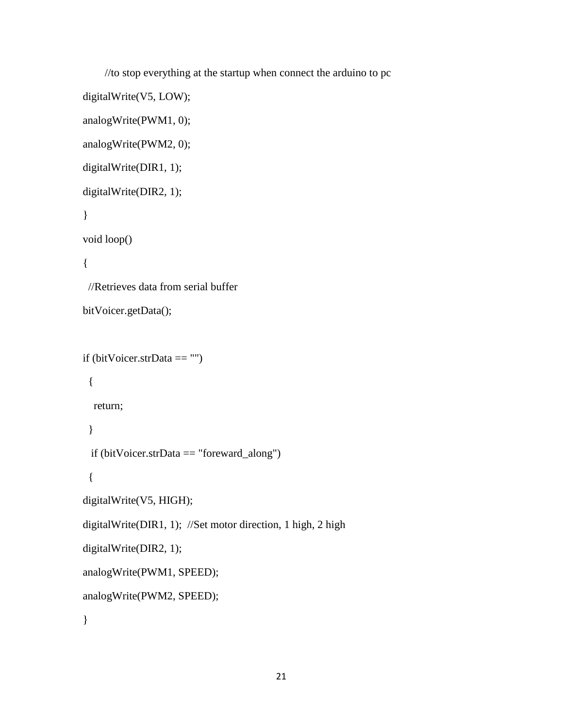```
 //to stop everything at the startup when connect the arduino to pc
digitalWrite(V5, LOW);
analogWrite(PWM1, 0);
analogWrite(PWM2, 0);
digitalWrite(DIR1, 1); 
digitalWrite(DIR2, 1);
}
void loop()
{
  //Retrieves data from serial buffer 
bitVoicer.getData();
if (bitVoicer.strData == "")
  {
   return;
  }
  if (bitVoicer.strData == "foreward_along")
  {
digitalWrite(V5, HIGH);
digitalWrite(DIR1, 1); //Set motor direction, 1 high, 2 high
digitalWrite(DIR2, 1); 
analogWrite(PWM1, SPEED);
analogWrite(PWM2, SPEED);
}
```

```
21
```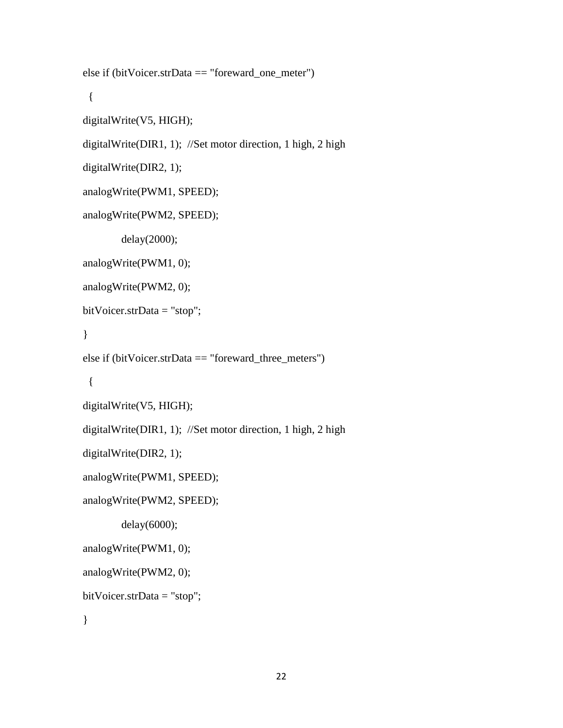```
else if (bitVoicer.strData == "foreward_one_meter")
  {
digitalWrite(V5, HIGH);
digitalWrite(DIR1, 1); //Set motor direction, 1 high, 2 high
digitalWrite(DIR2, 1); 
analogWrite(PWM1, SPEED);
analogWrite(PWM2, SPEED);
         delay(2000);
analogWrite(PWM1, 0);
analogWrite(PWM2, 0);
bitVoicer.strData = "stop";
}
else if (bitVoicer.strData == "foreward_three_meters")
  {
digitalWrite(V5, HIGH);
digitalWrite(DIR1, 1); //Set motor direction, 1 high, 2 high
digitalWrite(DIR2, 1); 
analogWrite(PWM1, SPEED);
analogWrite(PWM2, SPEED);
         delay(6000);
analogWrite(PWM1, 0);
analogWrite(PWM2, 0);
bitVoicer.strData = "stop";
}
```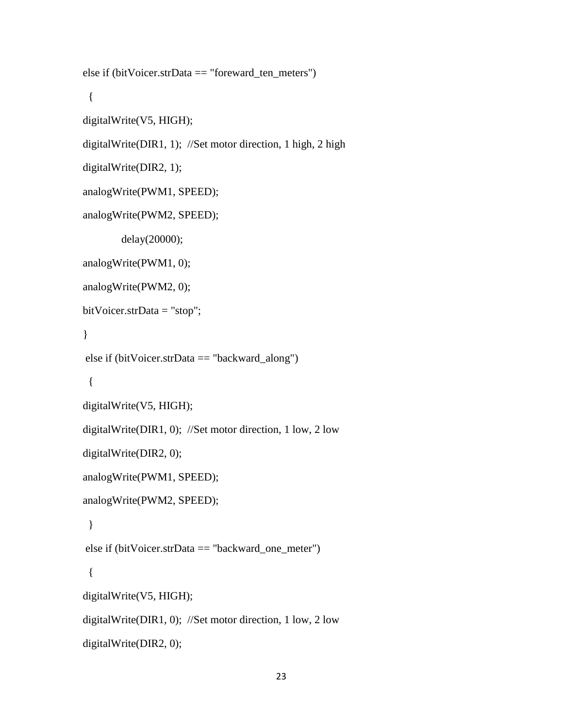```
else if (bitVoicer.strData == "foreward_ten_meters")
  {
digitalWrite(V5, HIGH);
digitalWrite(DIR1, 1); //Set motor direction, 1 high, 2 high
digitalWrite(DIR2, 1); 
analogWrite(PWM1, SPEED);
analogWrite(PWM2, SPEED);
         delay(20000);
analogWrite(PWM1, 0);
analogWrite(PWM2, 0);
bitVoicer.strData = "stop";
}
else if (bitVoicer.strData == "backward_along")
  {
digitalWrite(V5, HIGH);
digitalWrite(DIR1, 0); //Set motor direction, 1 low, 2 low
digitalWrite(DIR2, 0); 
analogWrite(PWM1, SPEED);
analogWrite(PWM2, SPEED);
  }
else if (bitVoicer.strData == "backward_one_meter")
  {
digitalWrite(V5, HIGH);
digitalWrite(DIR1, 0); //Set motor direction, 1 low, 2 low
digitalWrite(DIR2, 0);
```

```
23
```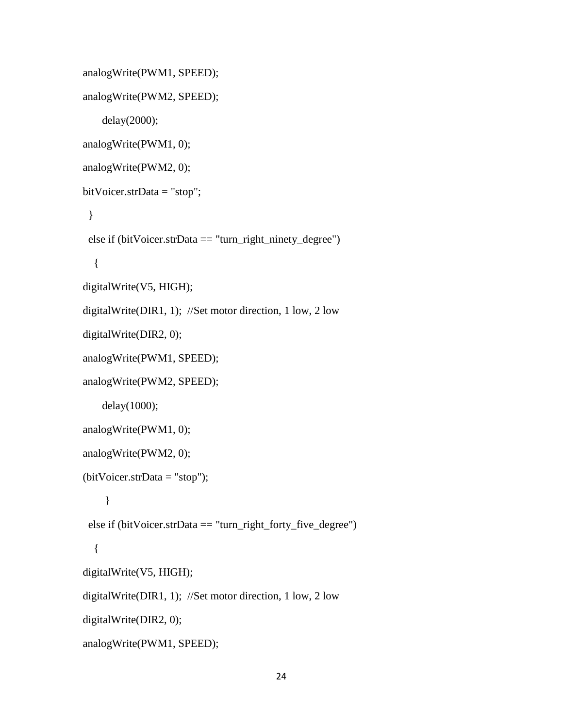```
analogWrite(PWM1, SPEED);
analogWrite(PWM2, SPEED);
     delay(2000);
analogWrite(PWM1, 0);
analogWrite(PWM2, 0);
bitVoicer.strData = "stop";
  }
  else if (bitVoicer.strData == "turn_right_ninety_degree")
   {
digitalWrite(V5, HIGH);
digitalWrite(DIR1, 1); //Set motor direction, 1 low, 2 low
digitalWrite(DIR2, 0); 
analogWrite(PWM1, SPEED);
analogWrite(PWM2, SPEED);
     delay(1000);
analogWrite(PWM1, 0);
analogWrite(PWM2, 0);
(bitVoicer.strData = "stop");
     }
  else if (bitVoicer.strData == "turn_right_forty_five_degree")
   {
digitalWrite(V5, HIGH);
digitalWrite(DIR1, 1); //Set motor direction, 1 low, 2 low
digitalWrite(DIR2, 0); 
analogWrite(PWM1, SPEED);
```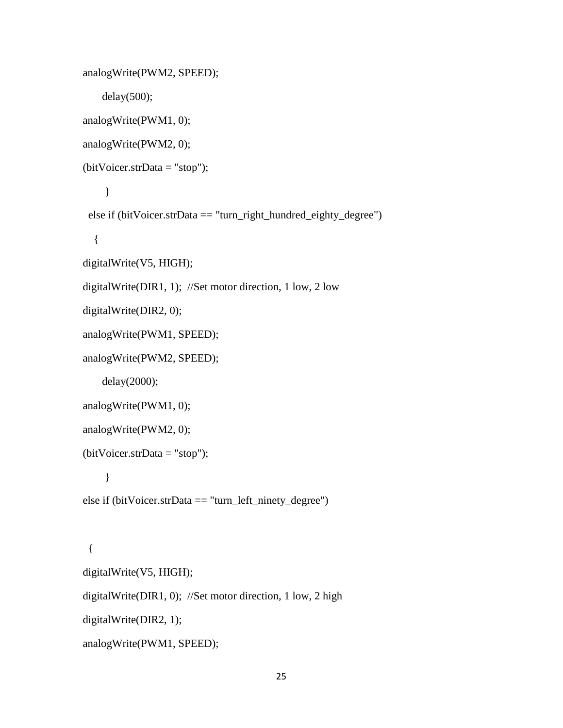```
analogWrite(PWM2, SPEED);
     delay(500);
analogWrite(PWM1, 0);
analogWrite(PWM2, 0);
(bitVoicer.strData = "stop");
     }
  else if (bitVoicer.strData == "turn_right_hundred_eighty_degree")
   {
digitalWrite(V5, HIGH);
digitalWrite(DIR1, 1); //Set motor direction, 1 low, 2 low
digitalWrite(DIR2, 0); 
analogWrite(PWM1, SPEED);
analogWrite(PWM2, SPEED);
     delay(2000);
analogWrite(PWM1, 0);
analogWrite(PWM2, 0);
(bitVoicer.strData = "stop");
     }
else if (bitVoicer.strData == "turn_left_ninety_degree")
  {
digitalWrite(V5, HIGH);
```
digitalWrite(DIR1, 0); //Set motor direction, 1 low, 2 high

digitalWrite(DIR2, 1);

```
analogWrite(PWM1, SPEED);
```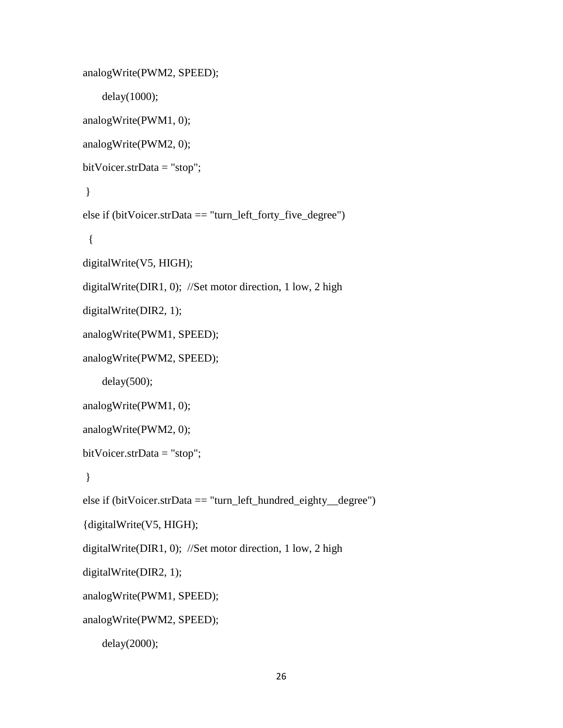```
analogWrite(PWM2, SPEED);
     delay(1000);
analogWrite(PWM1, 0);
analogWrite(PWM2, 0);
bitVoicer.strData = "stop";
}
else if (bitVoicer.strData == "turn_left_forty_five_degree")
  {
digitalWrite(V5, HIGH);
digitalWrite(DIR1, 0); //Set motor direction, 1 low, 2 high
digitalWrite(DIR2, 1); 
analogWrite(PWM1, SPEED);
analogWrite(PWM2, SPEED);
     delay(500);
analogWrite(PWM1, 0);
analogWrite(PWM2, 0);
bitVoicer.strData = "stop";
}
else if (bitVoicer.strData == "turn_left_hundred_eighty_degree")
{digitalWrite(V5, HIGH);
digitalWrite(DIR1, 0); //Set motor direction, 1 low, 2 high
digitalWrite(DIR2, 1); 
analogWrite(PWM1, SPEED);
analogWrite(PWM2, SPEED);
```

```
 delay(2000);
```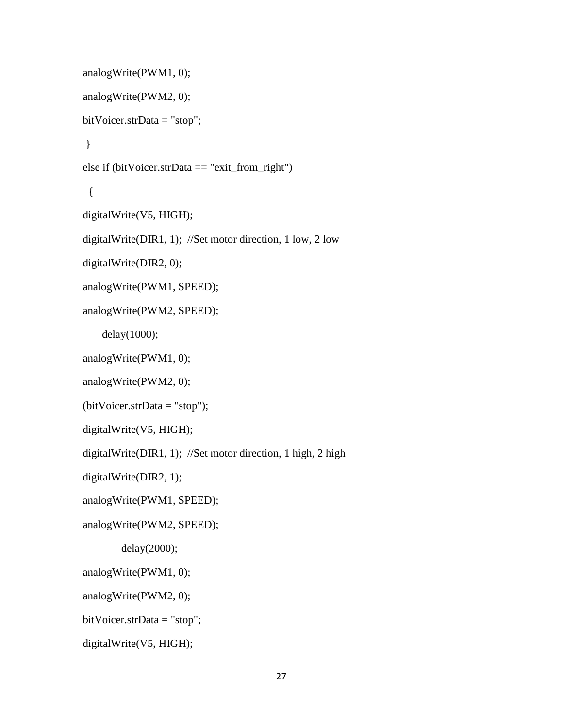```
analogWrite(PWM1, 0);
analogWrite(PWM2, 0);
bitVoicer.strData = "stop";
}
else if (bitVoicer.strData == "exit_from_right")
  {
digitalWrite(V5, HIGH);
digitalWrite(DIR1, 1); //Set motor direction, 1 low, 2 low
digitalWrite(DIR2, 0); 
analogWrite(PWM1, SPEED);
analogWrite(PWM2, SPEED);
     delay(1000);
analogWrite(PWM1, 0);
analogWrite(PWM2, 0);
(bitVoicer.strData = "stop");
digitalWrite(V5, HIGH);
digitalWrite(DIR1, 1); //Set motor direction, 1 high, 2 high
digitalWrite(DIR2, 1); 
analogWrite(PWM1, SPEED);
analogWrite(PWM2, SPEED);
         delay(2000);
analogWrite(PWM1, 0);
analogWrite(PWM2, 0);
bitVoicer.strData = "stop";
digitalWrite(V5, HIGH);
```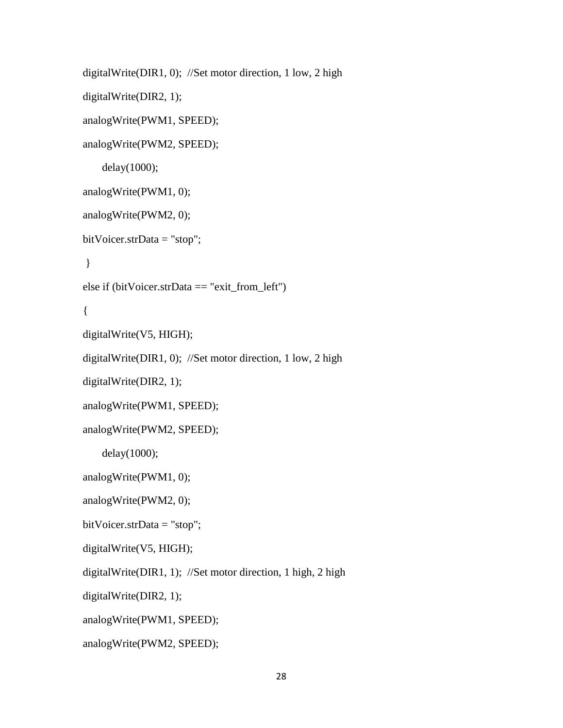```
digitalWrite(DIR1, 0); //Set motor direction, 1 low, 2 high
digitalWrite(DIR2, 1); 
analogWrite(PWM1, SPEED);
analogWrite(PWM2, SPEED);
     delay(1000);
analogWrite(PWM1, 0);
analogWrite(PWM2, 0);
bitVoicer.strData = "stop";
}
else if (bitVoicer.strData == "exit_from_left")
{
digitalWrite(V5, HIGH);
digitalWrite(DIR1, 0); //Set motor direction, 1 low, 2 high
digitalWrite(DIR2, 1); 
analogWrite(PWM1, SPEED);
analogWrite(PWM2, SPEED);
     delay(1000);
analogWrite(PWM1, 0);
analogWrite(PWM2, 0);
bitVoicer.strData = "stop";
digitalWrite(V5, HIGH);
digitalWrite(DIR1, 1); //Set motor direction, 1 high, 2 high
digitalWrite(DIR2, 1); 
analogWrite(PWM1, SPEED);
analogWrite(PWM2, SPEED);
```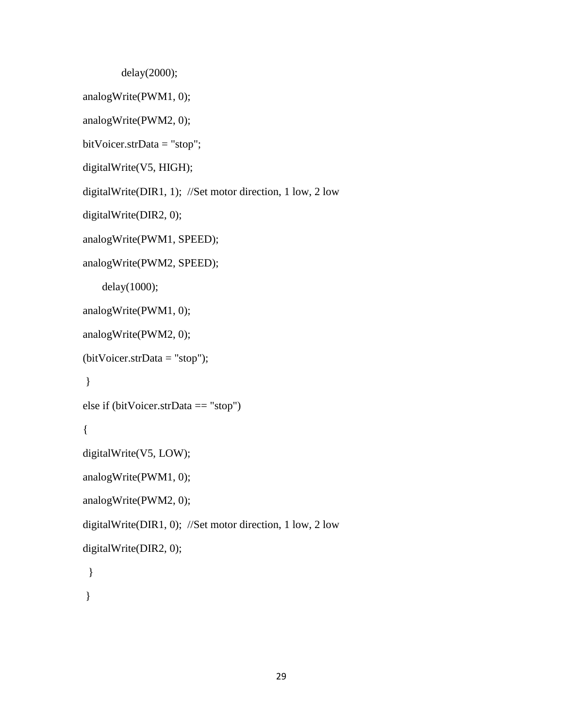delay(2000);

```
analogWrite(PWM1, 0);
```

```
analogWrite(PWM2, 0);
```

```
bitVoicer.strData = "stop";
```

```
digitalWrite(V5, HIGH);
```

```
digitalWrite(DIR1, 1); //Set motor direction, 1 low, 2 low
```

```
digitalWrite(DIR2, 0);
```

```
analogWrite(PWM1, SPEED);
```

```
analogWrite(PWM2, SPEED);
```
delay(1000);

```
analogWrite(PWM1, 0);
```

```
analogWrite(PWM2, 0);
```

```
(bitVoicer.strData = "stop");
```

```
}
```

```
else if (bitVoicer.strData == "stop")
```

```
{
```

```
digitalWrite(V5, LOW);
```

```
analogWrite(PWM1, 0);
```

```
analogWrite(PWM2, 0);
```
digitalWrite(DIR1, 0); //Set motor direction, 1 low, 2 low

```
digitalWrite(DIR2, 0);
```

```
 }
```
}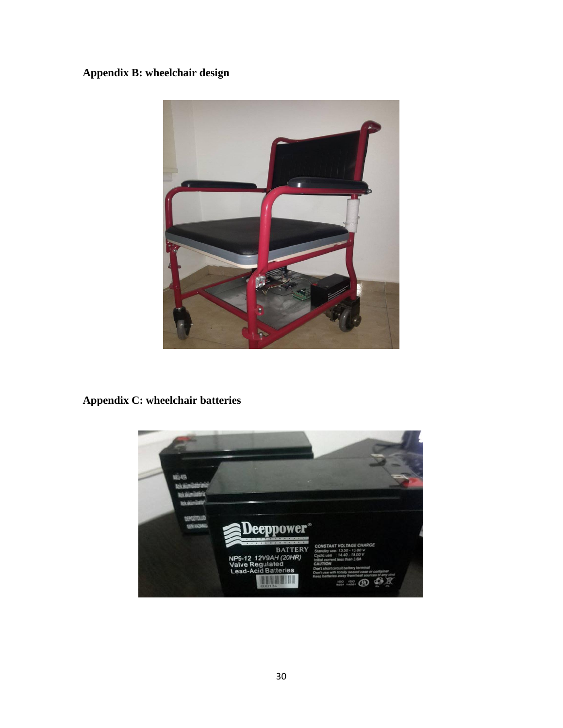## <span id="page-38-0"></span>**Appendix B: wheelchair design**



# <span id="page-38-1"></span>**Appendix C: wheelchair batteries**

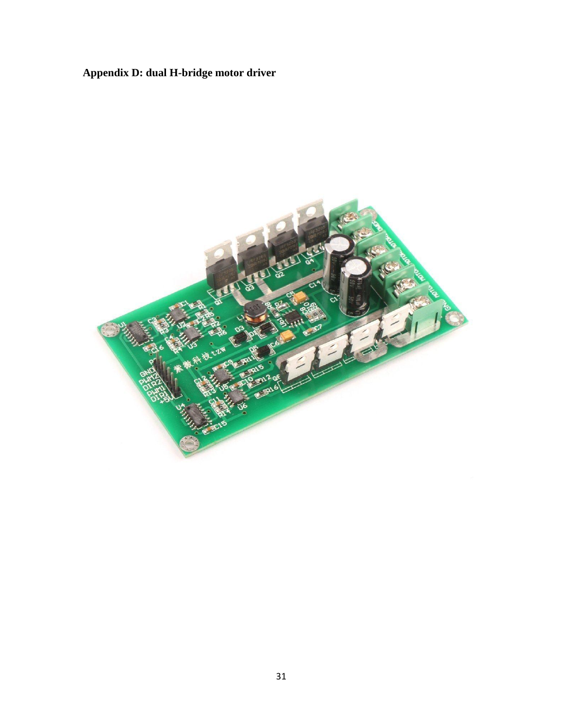# <span id="page-39-0"></span>**Appendix D: dual H-bridge motor driver**

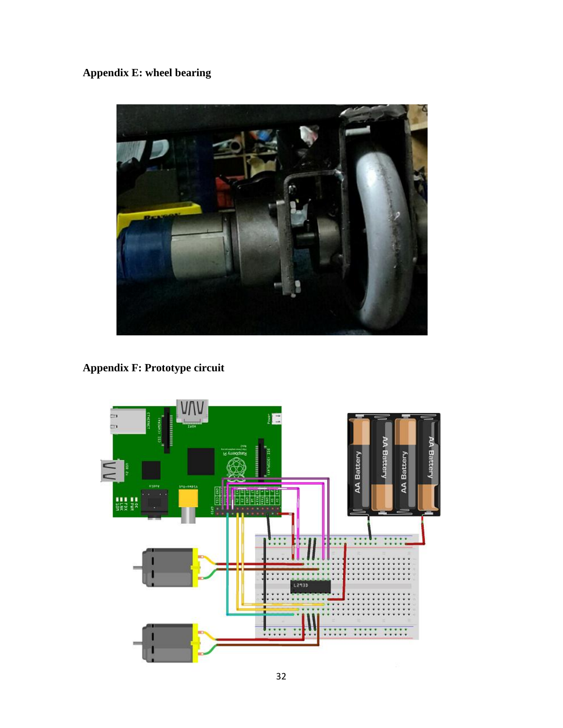# <span id="page-40-0"></span>**Appendix E: wheel bearing**



**Appendix F: Prototype circuit**

<span id="page-40-1"></span>